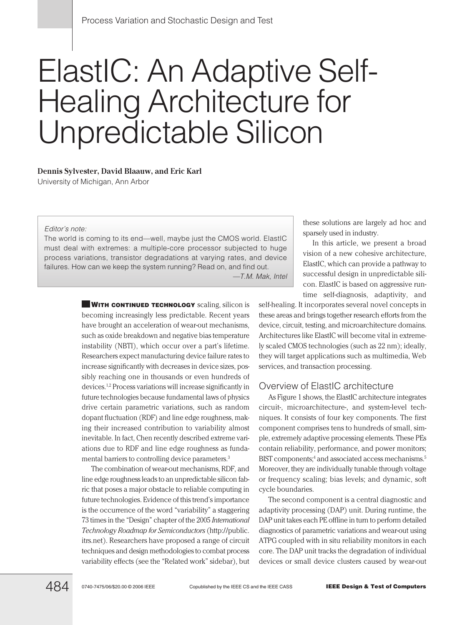# ElastIC: An Adaptive Self-Healing Architecture for Unpredictable Silicon

#### **Dennis Sylvester, David Blaauw, and Eric Karl**

University of Michigan, Ann Arbor

#### Editor's note:

The world is coming to its end—well, maybe just the CMOS world. ElastIC must deal with extremes: a multiple-core processor subjected to huge process variations, transistor degradations at varying rates, and device failures. How can we keep the system running? Read on, and find out.

—T.M. Mak, Intel

**WITH CONTINUED TECHNOLOGY** scaling, silicon is becoming increasingly less predictable. Recent years have brought an acceleration of wear-out mechanisms, such as oxide breakdown and negative bias temperature instability (NBTI), which occur over a part's lifetime. Researchers expect manufacturing device failure rates to increase significantly with decreases in device sizes, possibly reaching one in thousands or even hundreds of devices.1,2 Process variations will increase significantly in future technologies because fundamental laws of physics drive certain parametric variations, such as random dopant fluctuation (RDF) and line edge roughness, making their increased contribution to variability almost inevitable. In fact, Chen recently described extreme variations due to RDF and line edge roughness as fundamental barriers to controlling device parameters.<sup>3</sup>

The combination of wear-out mechanisms, RDF, and line edge roughness leads to an unpredictable silicon fabric that poses a major obstacle to reliable computing in future technologies. Evidence of this trend's importance is the occurrence of the word "variability" a staggering 73 times in the "Design" chapter of the 2005 *International Technology Roadmap for Semiconductors* (http://public. itrs.net). Researchers have proposed a range of circuit techniques and design methodologies to combat process variability effects (see the "Related work" sidebar), but

these solutions are largely ad hoc and sparsely used in industry.

In this article, we present a broad vision of a new cohesive architecture, ElastIC, which can provide a pathway to successful design in unpredictable silicon. ElastIC is based on aggressive runtime self-diagnosis, adaptivity, and

self-healing. It incorporates several novel concepts in these areas and brings together research efforts from the device, circuit, testing, and microarchitecture domains. Architectures like ElastIC will become vital in extremely scaled CMOS technologies (such as 22 nm); ideally, they will target applications such as multimedia, Web services, and transaction processing.

### Overview of ElastIC architecture

As Figure 1 shows, the ElastIC architecture integrates circuit-, microarchitecture-, and system-level techniques. It consists of four key components. The first component comprises tens to hundreds of small, simple, extremely adaptive processing elements. These PEs contain reliability, performance, and power monitors; BIST components;<sup>4</sup> and associated access mechanisms.<sup>5</sup> Moreover, they are individually tunable through voltage or frequency scaling; bias levels; and dynamic, soft cycle boundaries.

The second component is a central diagnostic and adaptivity processing (DAP) unit. During runtime, the DAP unit takes each PE offline in turn to perform detailed diagnostics of parametric variations and wear-out using ATPG coupled with in situ reliability monitors in each core. The DAP unit tracks the degradation of individual devices or small device clusters caused by wear-out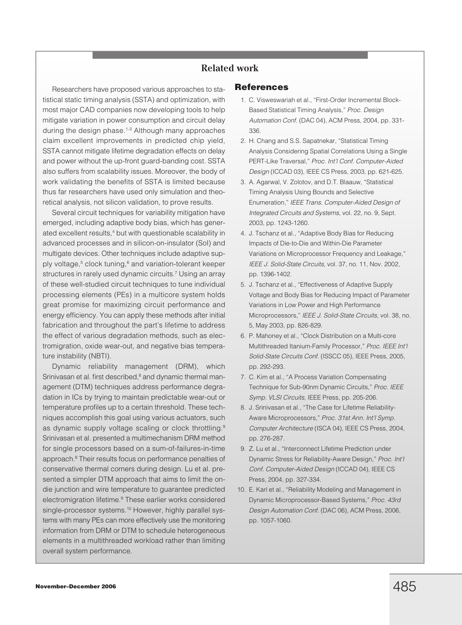# **Related work**

Researchers have proposed various approaches to statistical static timing analysis (SSTA) and optimization, with most major CAD companies now developing tools to help mitigate variation in power consumption and circuit delay during the design phase.<sup>1-3</sup> Although many approaches claim excellent improvements in predicted chip yield, SSTA cannot mitigate lifetime degradation effects on delay and power without the up-front guard-banding cost. SSTA also suffers from scalability issues. Moreover, the body of work validating the benefits of SSTA is limited because thus far researchers have used only simulation and theoretical analysis, not silicon validation, to prove results.

Several circuit techniques for variability mitigation have emerged, including adaptive body bias, which has generated excellent results,<sup>4</sup> but with questionable scalability in advanced processes and in silicon-on-insulator (SoI) and multigate devices. Other techniques include adaptive supply voltage,<sup>5</sup> clock tuning,<sup>6</sup> and variation-tolerant keeper structures in rarely used dynamic circuits.<sup>7</sup> Using an array of these well-studied circuit techniques to tune individual processing elements (PEs) in a multicore system holds great promise for maximizing circuit performance and energy efficiency. You can apply these methods after initial fabrication and throughout the part's lifetime to address the effect of various degradation methods, such as electromigration, oxide wear-out, and negative bias temperature instability (NBTI).

Dynamic reliability management (DRM), which Srinivasan et al. first described,<sup>8</sup> and dynamic thermal management (DTM) techniques address performance degradation in ICs by trying to maintain predictable wear-out or temperature profiles up to a certain threshold. These techniques accomplish this goal using various actuators, such as dynamic supply voltage scaling or clock throttling.<sup>9</sup> Srinivasan et al. presented a multimechanism DRM method for single processors based on a sum-of-failures-in-time approach.8 Their results focus on performance penalties of conservative thermal corners during design. Lu et al. presented a simpler DTM approach that aims to limit the ondie junction and wire temperature to guarantee predicted electromigration lifetime.9 These earlier works considered single-processor systems.<sup>10</sup> However, highly parallel systems with many PEs can more effectively use the monitoring information from DRM or DTM to schedule heterogeneous elements in a multithreaded workload rather than limiting overall system performance.

#### **References**

- 1. C. Visweswariah et al., "First-Order Incremental Block-Based Statistical Timing Analysis," Proc. Design Automation Conf. (DAC 04), ACM Press, 2004, pp. 331- 336.
- 2. H. Chang and S.S. Sapatnekar, "Statistical Timing Analysis Considering Spatial Correlations Using a Single PERT-Like Traversal," Proc. Int'l Conf. Computer-Aided Design (ICCAD 03), IEEE CS Press, 2003, pp. 621-625.
- 3. A. Agarwal, V. Zolotov, and D.T. Blaauw, "Statistical Timing Analysis Using Bounds and Selective Enumeration," IEEE Trans. Computer-Aided Design of Integrated Circuits and Systems, vol. 22, no. 9, Sept. 2003, pp. 1243-1260.
- 4. J. Tschanz et al., "Adaptive Body Bias for Reducing Impacts of Die-to-Die and Within-Die Parameter Variations on Microprocessor Frequency and Leakage," IEEE J. Solid-State Circuits, vol. 37, no. 11, Nov. 2002, pp. 1396-1402.
- 5. J. Tschanz et al., "Effectiveness of Adaptive Supply Voltage and Body Bias for Reducing Impact of Parameter Variations in Low Power and High Performance Microprocessors," IEEE J. Solid-State Circuits, vol. 38, no. 5, May 2003, pp. 826-829.
- 6. P. Mahoney et al., "Clock Distribution on a Multi-core Multithreaded Itanium-Family Processor," Proc. IEEE Int'l Solid-State Circuits Conf. (ISSCC 05), IEEE Press, 2005, pp. 292-293.
- 7. C. Kim et al., "A Process Variation Compensating Technique for Sub-90nm Dynamic Circuits," Proc. IEEE Symp. VLSI Circuits, IEEE Press, pp. 205-206.
- 8. J. Srinivasan et al., "The Case for Lifetime Reliability-Aware Microprocessors," Proc. 31st Ann. Int'l Symp. Computer Architecture (ISCA 04), IEEE CS Press, 2004, pp. 276-287.
- 9. Z. Lu et al., "Interconnect Lifetime Prediction under Dynamic Stress for Reliability-Aware Design," Proc. Int'l Conf. Computer-Aided Design (ICCAD 04), IEEE CS Press, 2004, pp. 327-334.
- 10. E. Karl et al., "Reliability Modeling and Management in Dynamic Microprocessor-Based Systems," Proc. 43rd Design Automation Conf. (DAC 06), ACM Press, 2006, pp. 1057-1060.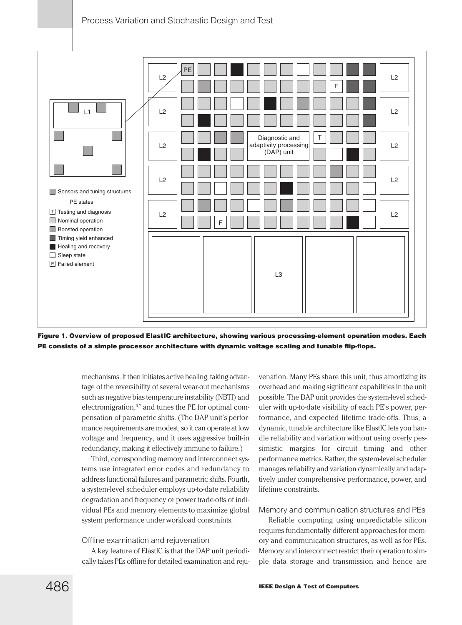

**Figure 1. Overview of proposed ElastIC architecture, showing various processing-element operation modes. Each PE consists of a simple processor architecture with dynamic voltage scaling and tunable flip-flops.**

mechanisms. It then initiates active healing, taking advantage of the reversibility of several wear-out mechanisms such as negative bias temperature instability (NBTI) and electromigration, $6,7$  and tunes the PE for optimal compensation of parametric shifts. (The DAP unit's performance requirements are modest, so it can operate at low voltage and frequency, and it uses aggressive built-in redundancy, making it effectively immune to failure.)

Third, corresponding memory and interconnect systems use integrated error codes and redundancy to address functional failures and parametric shifts. Fourth, a system-level scheduler employs up-to-date reliability degradation and frequency or power trade-offs of individual PEs and memory elements to maximize global system performance under workload constraints.

#### Offline examination and rejuvenation

A key feature of ElastIC is that the DAP unit periodically takes PEs offline for detailed examination and rejuvenation. Many PEs share this unit, thus amortizing its overhead and making significant capabilities in the unit possible. The DAP unit provides the system-level scheduler with up-to-date visibility of each PE's power, performance, and expected lifetime trade-offs. Thus, a dynamic, tunable architecture like ElastIC lets you handle reliability and variation without using overly pessimistic margins for circuit timing and other performance metrics. Rather, the system-level scheduler manages reliability and variation dynamically and adaptively under comprehensive performance, power, and lifetime constraints.

#### Memory and communication structures and PEs

Reliable computing using unpredictable silicon requires fundamentally different approaches for memory and communication structures, as well as for PEs. Memory and interconnect restrict their operation to simple data storage and transmission and hence are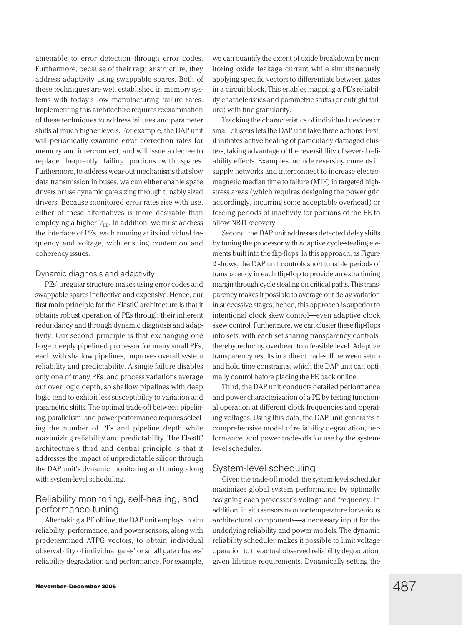amenable to error detection through error codes. Furthermore, because of their regular structure, they address adaptivity using swappable spares. Both of these techniques are well established in memory systems with today's low manufacturing failure rates. Implementing this architecture requires reexamination of these techniques to address failures and parameter shifts at much higher levels. For example, the DAP unit will periodically examine error correction rates for memory and interconnect, and will issue a decree to replace frequently failing portions with spares. Furthermore, to address wear-out mechanisms that slow data transmission in buses, we can either enable spare drivers or use dynamic gate sizing through tunably sized drivers. Because monitored error rates rise with use, either of these alternatives is more desirable than employing a higher  $V_{\text{DD}}$ . In addition, we must address the interface of PEs, each running at its individual frequency and voltage, with ensuing contention and coherency issues.

#### Dynamic diagnosis and adaptivity

PEs' irregular structure makes using error codes and swappable spares ineffective and expensive. Hence, our first main principle for the ElastIC architecture is that it obtains robust operation of PEs through their inherent redundancy and through dynamic diagnosis and adaptivity. Our second principle is that exchanging one large, deeply pipelined processor for many small PEs, each with shallow pipelines, improves overall system reliability and predictability. A single failure disables only one of many PEs, and process variations average out over logic depth, so shallow pipelines with deep logic tend to exhibit less susceptibility to variation and parametric shifts. The optimal trade-off between pipelining, parallelism, and power-performance requires selecting the number of PEs and pipeline depth while maximizing reliability and predictability. The ElastIC architecture's third and central principle is that it addresses the impact of unpredictable silicon through the DAP unit's dynamic monitoring and tuning along with system-level scheduling.

# Reliability monitoring, self-healing, and performance tuning

After taking a PE offline, the DAP unit employs in situ reliability, performance, and power sensors, along with predetermined ATPG vectors, to obtain individual observability of individual gates' or small gate clusters' reliability degradation and performance. For example,

Tracking the characteristics of individual devices or small clusters lets the DAP unit take three actions: First, it initiates active healing of particularly damaged clusters, taking advantage of the reversibility of several reliability effects. Examples include reversing currents in supply networks and interconnect to increase electromagnetic median time to failure (MTF) in targeted highstress areas (which requires designing the power grid accordingly, incurring some acceptable overhead) or forcing periods of inactivity for portions of the PE to allow NBTI recovery.

Second, the DAP unit addresses detected delay shifts by tuning the processor with adaptive cycle-stealing elements built into the flip-flops. In this approach, as Figure 2 shows, the DAP unit controls short tunable periods of transparency in each flip-flop to provide an extra timing margin through cycle stealing on critical paths. This transparency makes it possible to average out delay variation in successive stages; hence, this approach is superior to intentional clock skew control—even adaptive clock skew control. Furthermore, we can cluster these flip-flops into sets, with each set sharing transparency controls, thereby reducing overhead to a feasible level. Adaptive transparency results in a direct trade-off between setup and hold time constraints, which the DAP unit can optimally control before placing the PE back online.

Third, the DAP unit conducts detailed performance and power characterization of a PE by testing functional operation at different clock frequencies and operating voltages. Using this data, the DAP unit generates a comprehensive model of reliability degradation, performance, and power trade-offs for use by the systemlevel scheduler.

#### System-level scheduling

Given the trade-off model, the system-level scheduler maximizes global system performance by optimally assigning each processor's voltage and frequency. In addition, in situ sensors monitor temperature for various architectural components—a necessary input for the underlying reliability and power models. The dynamic reliability scheduler makes it possible to limit voltage operation to the actual observed reliability degradation, given lifetime requirements. Dynamically setting the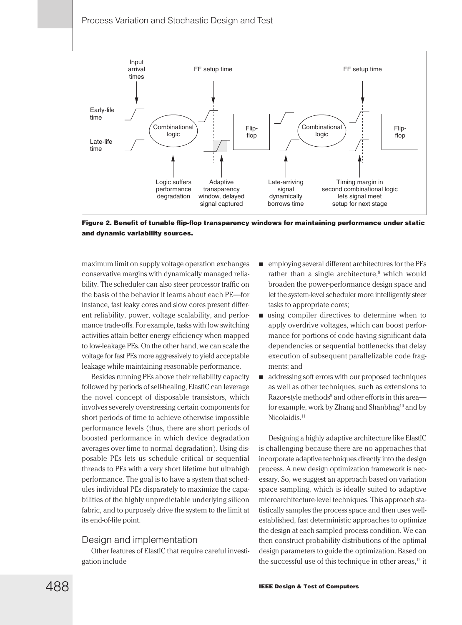

**Figure 2. Benefit of tunable flip-flop transparency windows for maintaining performance under static and dynamic variability sources.**

maximum limit on supply voltage operation exchanges conservative margins with dynamically managed reliability. The scheduler can also steer processor traffic on the basis of the behavior it learns about each PE—for instance, fast leaky cores and slow cores present different reliability, power, voltage scalability, and performance trade-offs. For example, tasks with low switching activities attain better energy efficiency when mapped to low-leakage PEs. On the other hand, we can scale the voltage for fast PEs more aggressively to yield acceptable leakage while maintaining reasonable performance.

Besides running PEs above their reliability capacity followed by periods of self-healing, ElastIC can leverage the novel concept of disposable transistors, which involves severely overstressing certain components for short periods of time to achieve otherwise impossible performance levels (thus, there are short periods of boosted performance in which device degradation averages over time to normal degradation). Using disposable PEs lets us schedule critical or sequential threads to PEs with a very short lifetime but ultrahigh performance. The goal is to have a system that schedules individual PEs disparately to maximize the capabilities of the highly unpredictable underlying silicon fabric, and to purposely drive the system to the limit at its end-of-life point.

#### Design and implementation

Other features of ElastIC that require careful investigation include

- employing several different architectures for the PEs rather than a single architecture,<sup>8</sup> which would broaden the power-performance design space and let the system-level scheduler more intelligently steer tasks to appropriate cores;
- using compiler directives to determine when to apply overdrive voltages, which can boost performance for portions of code having significant data dependencies or sequential bottlenecks that delay execution of subsequent parallelizable code fragments; and
- addressing soft errors with our proposed techniques as well as other techniques, such as extensions to Razor-style methods<sup>9</sup> and other efforts in this area for example, work by Zhang and Shanbhag<sup>10</sup> and by Nicolaidis.<sup>11</sup>

Designing a highly adaptive architecture like ElastIC is challenging because there are no approaches that incorporate adaptive techniques directly into the design process. A new design optimization framework is necessary. So, we suggest an approach based on variation space sampling, which is ideally suited to adaptive microarchitecture-level techniques. This approach statistically samples the process space and then uses wellestablished, fast deterministic approaches to optimize the design at each sampled process condition. We can then construct probability distributions of the optimal design parameters to guide the optimization. Based on the successful use of this technique in other areas,<sup>12</sup> it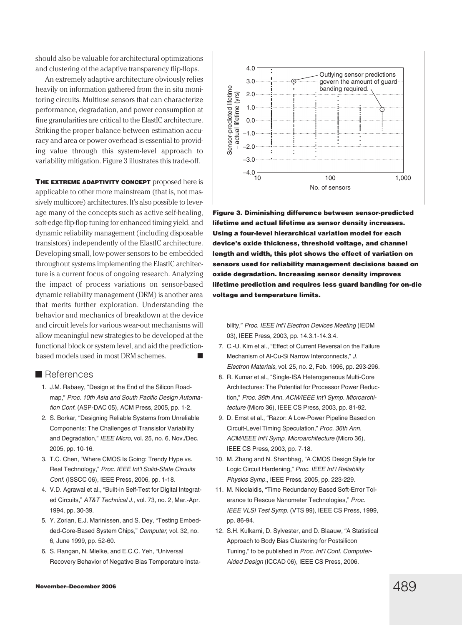should also be valuable for architectural optimizations and clustering of the adaptive transparency flip-flops.

An extremely adaptive architecture obviously relies heavily on information gathered from the in situ monitoring circuits. Multiuse sensors that can characterize performance, degradation, and power consumption at fine granularities are critical to the ElastIC architecture. Striking the proper balance between estimation accuracy and area or power overhead is essential to providing value through this system-level approach to variability mitigation. Figure 3 illustrates this trade-off.

**THE EXTREME ADAPTIVITY CONCEPT** proposed here is applicable to other more mainstream (that is, not massively multicore) architectures. It's also possible to leverage many of the concepts such as active self-healing, soft-edge flip-flop tuning for enhanced timing yield, and dynamic reliability management (including disposable transistors) independently of the ElastIC architecture. Developing small, low-power sensors to be embedded throughout systems implementing the ElastIC architecture is a current focus of ongoing research. Analyzing the impact of process variations on sensor-based dynamic reliability management (DRM) is another area that merits further exploration. Understanding the behavior and mechanics of breakdown at the device and circuit levels for various wear-out mechanisms will allow meaningful new strategies to be developed at the functional block or system level, and aid the predictionbased models used in most DRM schemes.

# **References**

- 1. J.M. Rabaey, "Design at the End of the Silicon Roadmap," Proc. 10th Asia and South Pacific Design Automation Conf. (ASP-DAC 05), ACM Press, 2005, pp. 1-2.
- 2. S. Borkar, "Designing Reliable Systems from Unreliable Components: The Challenges of Transistor Variability and Degradation," IEEE Micro, vol. 25, no. 6, Nov./Dec. 2005, pp. 10-16.
- 3. T.C. Chen, "Where CMOS Is Going: Trendy Hype vs. Real Technology," Proc. IEEE Int'l Solid-State Circuits Conf. (ISSCC 06), IEEE Press, 2006, pp. 1-18.
- 4. V.D. Agrawal et al., "Built-in Self-Test for Digital Integrated Circuits," AT&T Technical J., vol. 73, no. 2, Mar.-Apr. 1994, pp. 30-39.
- 5. Y. Zorian, E.J. Marinissen, and S. Dey, "Testing Embedded-Core-Based System Chips," Computer, vol. 32, no. 6, June 1999, pp. 52-60.
- 6. S. Rangan, N. Mielke, and E.C.C. Yeh, "Universal Recovery Behavior of Negative Bias Temperature Insta-



**Figure 3. Diminishing difference between sensor-predicted lifetime and actual lifetime as sensor density increases. Using a four-level hierarchical variation model for each device's oxide thickness, threshold voltage, and channel length and width, this plot shows the effect of variation on sensors used for reliability management decisions based on oxide degradation. Increasing sensor density improves lifetime prediction and requires less guard banding for on-die voltage and temperature limits.**

bility," Proc. IEEE Int'l Electron Devices Meeting (IEDM 03), IEEE Press, 2003, pp. 14.3.1-14.3.4.

- 7. C.-U. Kim et al., "Effect of Current Reversal on the Failure Mechanism of Al-Cu-Si Narrow Interconnects," J. Electron Materials, vol. 25, no. 2, Feb. 1996, pp. 293-296.
- 8. R. Kumar et al., "Single-ISA Heterogeneous Multi-Core Architectures: The Potential for Processor Power Reduction," Proc. 36th Ann. ACM/IEEE Int'l Symp. Microarchitecture (Micro 36), IEEE CS Press, 2003, pp. 81-92.
- 9. D. Ernst et al., "Razor: A Low-Power Pipeline Based on Circuit-Level Timing Speculation," Proc. 36th Ann. ACM/IEEE Int'l Symp. Microarchitecture (Micro 36), IEEE CS Press, 2003, pp. 7-18.
- 10. M. Zhang and N. Shanbhag, "A CMOS Design Style for Logic Circuit Hardening," Proc. IEEE Int'l Reliability Physics Symp., IEEE Press, 2005, pp. 223-229.
- 11. M. Nicolaidis, "Time Redundancy Based Soft-Error Tolerance to Rescue Nanometer Technologies," Proc. IEEE VLSI Test Symp. (VTS 99), IEEE CS Press, 1999, pp. 86-94.
- 12. S.H. Kulkarni, D. Sylvester, and D. Blaauw, "A Statistical Approach to Body Bias Clustering for Postsilicon Tuning," to be published in Proc. Int'l Conf. Computer-Aided Design (ICCAD 06), IEEE CS Press, 2006.